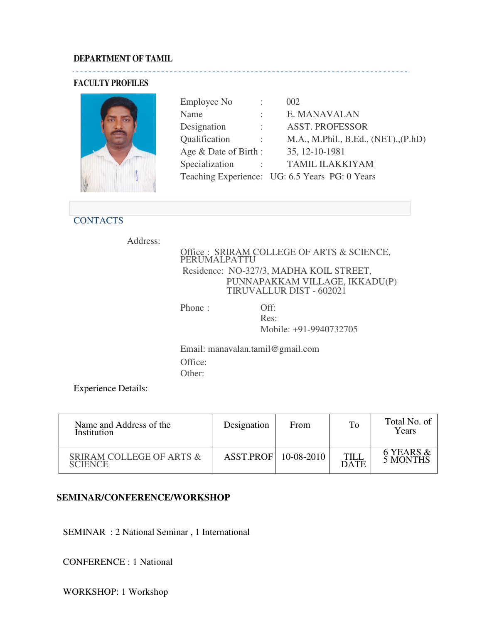### **DEPARTMENT OF TAMIL**

### **FACULTY PROFILES**



|                               | 002                                            |
|-------------------------------|------------------------------------------------|
|                               | E. MANAVALAN                                   |
| $\mathbb{R}^n$                | <b>ASST. PROFESSOR</b>                         |
| $\mathcal{X}^{\mathcal{A}}$ . | M.A., M. Phil., B. Ed., (NET), (P.hD)          |
| Age & Date of Birth:          | 35, 12-10-1981                                 |
| <b>Contractor</b>             | <b>TAMIL ILAKKIYAM</b>                         |
|                               | Teaching Experience: UG: 6.5 Years PG: 0 Years |
|                               |                                                |

# **CONTACTS**

Address:

Office : SRIRAM COLLEGE OF ARTS & SCIENCE, PERUMALPATTU Residence: NO-327/3, MADHA KOIL STREET, PUNNAPAKKAM VILLAGE, IKKADU(P) TIRUVALLUR DIST - 602021

Phone : Off:

Res: Mobile: +91-9940732705

Email: manavalan.tamil@gmail.com Office: Other:

Experience Details:

| Name and Address of the<br>Institution                | Designation            | From | To                  | Total No. of<br>Years |
|-------------------------------------------------------|------------------------|------|---------------------|-----------------------|
| <b>SRIRAM COLLEGE OF ARTS &amp;</b><br><b>SCIENCE</b> | ASST.PROF   10-08-2010 |      | TILL<br><b>DATE</b> | 6 YEARS &<br>5 MONTHS |

#### **SEMINAR/CONFERENCE/WORKSHOP**

SEMINAR : 2 National Seminar , 1 International

CONFERENCE : 1 National

WORKSHOP: 1 Workshop